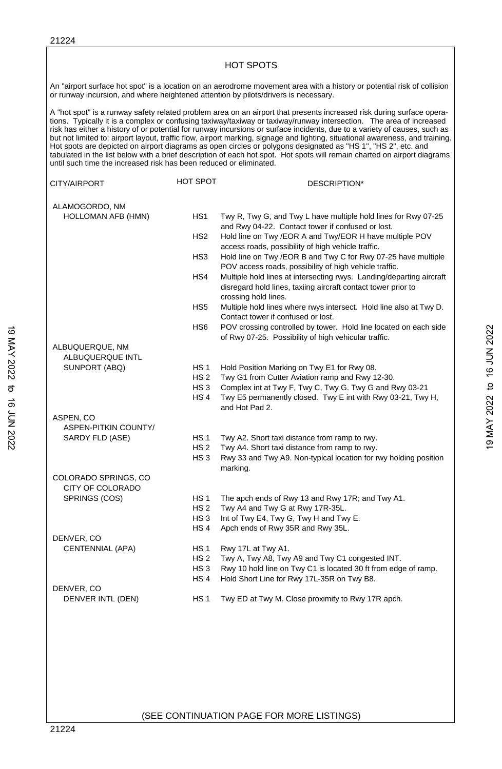| until such time the increased risk has been reduced or eliminated. |                                            | A "hot spot" is a runway safety related problem area on an airport that presents increased risk during surface opera-<br>tions. Typically it is a complex or confusing taxiway/taxiway or taxiway/runway intersection. The area of increased<br>risk has either a history of or potential for runway incursions or surface incidents, due to a variety of causes, such as<br>but not limited to: airport layout, traffic flow, airport marking, signage and lighting, situational awareness, and training.<br>Hot spots are depicted on airport diagrams as open circles or polygons designated as "HS 1", "HS 2", etc. and<br>tabulated in the list below with a brief description of each hot spot. Hot spots will remain charted on airport diagrams |
|--------------------------------------------------------------------|--------------------------------------------|---------------------------------------------------------------------------------------------------------------------------------------------------------------------------------------------------------------------------------------------------------------------------------------------------------------------------------------------------------------------------------------------------------------------------------------------------------------------------------------------------------------------------------------------------------------------------------------------------------------------------------------------------------------------------------------------------------------------------------------------------------|
| CITY/AIRPORT                                                       | HOT SPOT                                   | DESCRIPTION*                                                                                                                                                                                                                                                                                                                                                                                                                                                                                                                                                                                                                                                                                                                                            |
| ALAMOGORDO, NM<br>HOLLOMAN AFB (HMN)                               | HS <sub>1</sub>                            | Twy R, Twy G, and Twy L have multiple hold lines for Rwy 07-25<br>and Rwy 04-22. Contact tower if confused or lost.                                                                                                                                                                                                                                                                                                                                                                                                                                                                                                                                                                                                                                     |
|                                                                    | HS <sub>2</sub>                            | Hold line on Twy /EOR A and Twy/EOR H have multiple POV<br>access roads, possibility of high vehicle traffic.                                                                                                                                                                                                                                                                                                                                                                                                                                                                                                                                                                                                                                           |
|                                                                    | HS3                                        | Hold line on Twy /EOR B and Twy C for Rwy 07-25 have multiple<br>POV access roads, possibility of high vehicle traffic.                                                                                                                                                                                                                                                                                                                                                                                                                                                                                                                                                                                                                                 |
|                                                                    | HS4                                        | Multiple hold lines at intersecting rwys. Landing/departing aircraft<br>disregard hold lines, taxiing aircraft contact tower prior to<br>crossing hold lines.                                                                                                                                                                                                                                                                                                                                                                                                                                                                                                                                                                                           |
|                                                                    | HS <sub>5</sub>                            | Multiple hold lines where rwys intersect. Hold line also at Twy D.<br>Contact tower if confused or lost.                                                                                                                                                                                                                                                                                                                                                                                                                                                                                                                                                                                                                                                |
|                                                                    | HS <sub>6</sub>                            | POV crossing controlled by tower. Hold line located on each side<br>of Rwy 07-25. Possibility of high vehicular traffic.                                                                                                                                                                                                                                                                                                                                                                                                                                                                                                                                                                                                                                |
| ALBUQUERQUE, NM<br>ALBUQUERQUE INTL                                |                                            |                                                                                                                                                                                                                                                                                                                                                                                                                                                                                                                                                                                                                                                                                                                                                         |
| SUNPORT (ABQ)                                                      | <b>HS1</b>                                 | Hold Position Marking on Twy E1 for Rwy 08.                                                                                                                                                                                                                                                                                                                                                                                                                                                                                                                                                                                                                                                                                                             |
|                                                                    | HS <sub>2</sub>                            | Twy G1 from Cutter Aviation ramp and Rwy 12-30.                                                                                                                                                                                                                                                                                                                                                                                                                                                                                                                                                                                                                                                                                                         |
|                                                                    | HS <sub>3</sub><br>HS <sub>4</sub>         | Complex int at Twy F, Twy C, Twy G. Twy G and Rwy 03-21<br>Twy E5 permanently closed. Twy E int with Rwy 03-21, Twy H,<br>and Hot Pad 2.                                                                                                                                                                                                                                                                                                                                                                                                                                                                                                                                                                                                                |
| ASPEN, CO                                                          |                                            |                                                                                                                                                                                                                                                                                                                                                                                                                                                                                                                                                                                                                                                                                                                                                         |
| ASPEN-PITKIN COUNTY/                                               |                                            |                                                                                                                                                                                                                                                                                                                                                                                                                                                                                                                                                                                                                                                                                                                                                         |
| SARDY FLD (ASE)                                                    | HS 1<br>HS <sub>2</sub><br>HS <sub>3</sub> | Twy A2. Short taxi distance from ramp to rwy.<br>Twy A4. Short taxi distance from ramp to rwy.<br>Rwy 33 and Twy A9. Non-typical location for rwy holding position                                                                                                                                                                                                                                                                                                                                                                                                                                                                                                                                                                                      |
| COLORADO SPRINGS, CO                                               |                                            | marking.                                                                                                                                                                                                                                                                                                                                                                                                                                                                                                                                                                                                                                                                                                                                                |
| CITY OF COLORADO                                                   |                                            |                                                                                                                                                                                                                                                                                                                                                                                                                                                                                                                                                                                                                                                                                                                                                         |
| SPRINGS (COS)                                                      | HS <sub>1</sub>                            | The apch ends of Rwy 13 and Rwy 17R; and Twy A1.                                                                                                                                                                                                                                                                                                                                                                                                                                                                                                                                                                                                                                                                                                        |
|                                                                    | HS <sub>2</sub>                            | Twy A4 and Twy G at Rwy 17R-35L.                                                                                                                                                                                                                                                                                                                                                                                                                                                                                                                                                                                                                                                                                                                        |
|                                                                    | HS <sub>3</sub>                            | Int of Twy E4, Twy G, Twy H and Twy E.                                                                                                                                                                                                                                                                                                                                                                                                                                                                                                                                                                                                                                                                                                                  |
|                                                                    | HS <sub>4</sub>                            | Apch ends of Rwy 35R and Rwy 35L.                                                                                                                                                                                                                                                                                                                                                                                                                                                                                                                                                                                                                                                                                                                       |
| DENVER, CO<br><b>CENTENNIAL (APA)</b>                              | HS <sub>1</sub>                            | Rwy 17L at Twy A1.                                                                                                                                                                                                                                                                                                                                                                                                                                                                                                                                                                                                                                                                                                                                      |
|                                                                    | HS 2                                       | Twy A, Twy A8, Twy A9 and Twy C1 congested INT.                                                                                                                                                                                                                                                                                                                                                                                                                                                                                                                                                                                                                                                                                                         |
|                                                                    | HS <sub>3</sub>                            | Rwy 10 hold line on Twy C1 is located 30 ft from edge of ramp.                                                                                                                                                                                                                                                                                                                                                                                                                                                                                                                                                                                                                                                                                          |
|                                                                    | HS <sub>4</sub>                            | Hold Short Line for Rwy 17L-35R on Twy B8.                                                                                                                                                                                                                                                                                                                                                                                                                                                                                                                                                                                                                                                                                                              |
| DENVER, CO<br>DENVER INTL (DEN)                                    | <b>HS1</b>                                 | Twy ED at Twy M. Close proximity to Rwy 17R apch.                                                                                                                                                                                                                                                                                                                                                                                                                                                                                                                                                                                                                                                                                                       |
|                                                                    |                                            |                                                                                                                                                                                                                                                                                                                                                                                                                                                                                                                                                                                                                                                                                                                                                         |
|                                                                    |                                            |                                                                                                                                                                                                                                                                                                                                                                                                                                                                                                                                                                                                                                                                                                                                                         |

1